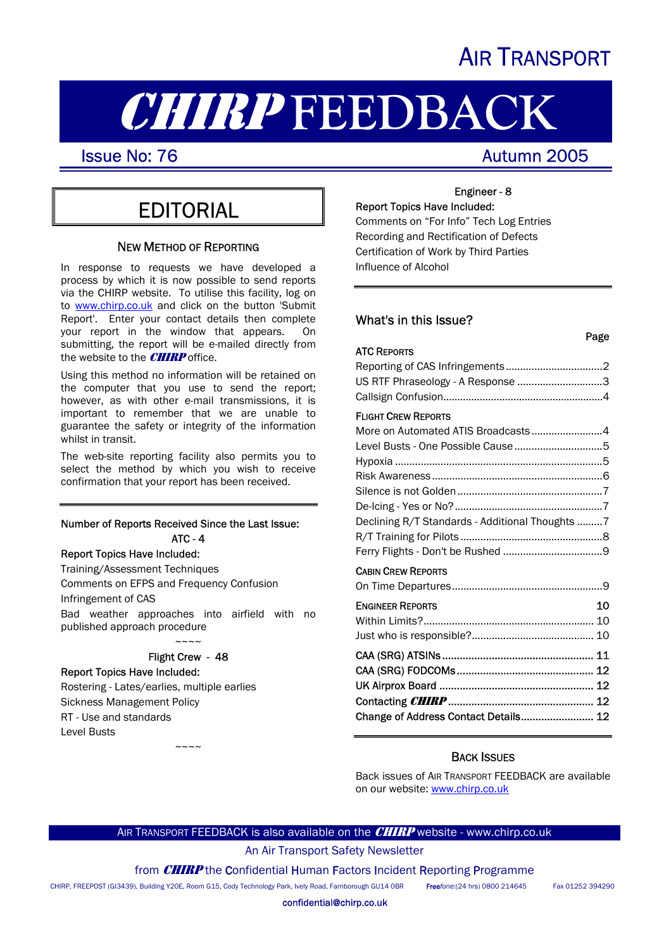# AIR TRANSPORT

# **CHIRP FEEDBACK**<br>Issue No: 76

I

Page

# EDITORIAL

### NEW METHOD OF REPORTING

In response to requests we have developed a process by which it is now possible to send reports via the CHIRP website. To utilise this facility, log on to [www.chirp.co.uk](http://www.chirp.co.uk/) and click on the button 'Submit Report'. Enter your contact details then complete your report in the window that appears. On submitting, the report will be e-mailed directly from the website to the **CHIRP** office.

Using this method no information will be retained on the computer that you use to send the report; however, as with other e-mail transmissions, it is important to remember that we are unable to guarantee the safety or integrity of the information whilst in transit.

The web-site reporting facility also permits you to select the method by which you wish to receive confirmation that your report has been received.

### Number of Reports Received Since the Last Issue: ATC - 4

Report Topics Have Included: Training/Assessment Techniques Comments on EFPS and Frequency Confusion Infringement of CAS Bad weather approaches into airfield with no published approach procedure  $\sim\sim\sim\sim$ 

### Flight Crew - 48

~~~~

Report Topics Have Included: Rostering - Lates/earlies, multiple earlies Sickness Management Policy RT - Use and standards Level Busts

### Engineer - 8 Report Topics Have Included:

Comments on "For Info" Tech Log Entries Recording and Rectification of Defects Certification of Work by Third Parties Influence of Alcohol

### What's in this Issue?

### ATC REPORTS

| US RTF Phraseology - A Response 3 |  |
|-----------------------------------|--|
|                                   |  |
| _____                             |  |

### FLIGHT CREW REPORTS

| More on Automated ATIS Broadcasts4              |    |
|-------------------------------------------------|----|
|                                                 |    |
|                                                 |    |
|                                                 |    |
|                                                 |    |
|                                                 |    |
| Declining R/T Standards - Additional Thoughts 7 |    |
|                                                 |    |
|                                                 |    |
| <b>CABIN CREW REPORTS</b>                       |    |
|                                                 |    |
| <b>ENGINEER REPORTS</b>                         | 10 |

| LINGINEER INEFORIS                   | TO. |
|--------------------------------------|-----|
|                                      |     |
|                                      |     |
|                                      |     |
|                                      |     |
|                                      |     |
|                                      |     |
| Change of Address Contact Details 12 |     |

### BACK ISSUES

Back issues of AIR TRANSPORT FEEDBACK are available on our website: www.chirp.co.uk

### AIR TRANSPORT FEEDBACK is also available on the **CHIRP** website - www.chirp.co.uk

An Air Transport Safety Newsletter

from **CHIRP** the Confidential Human Factors Incident Reporting Programme

CHIRP, FREEPOST (GI3439), Building Y20E, Room G15, Cody Technology Park, Ively Road, Farnborough GU14 0BR Free*fone*:(24 hrs) 0800 214645 Fax 01252 394290

confidential@chirp.co.uk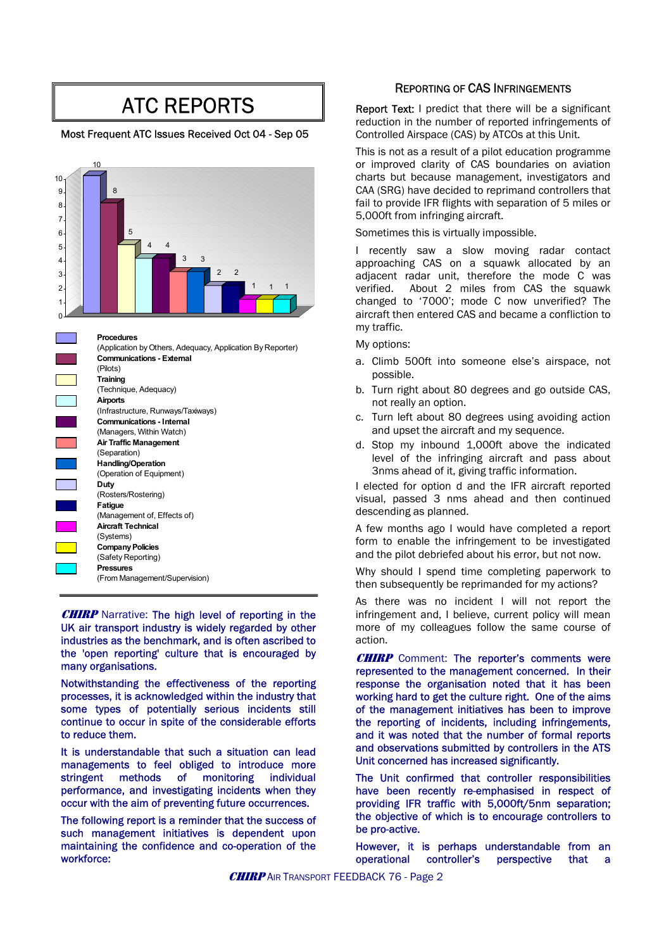# ATC REPORTS

### Most Frequent ATC Issues Received Oct 04 - Sep 05



**CHIRP** Narrative: The high level of reporting in the UK air transport industry is widely regarded by other industries as the benchmark, and is often ascribed to the 'open reporting' culture that is encouraged by the open reporting culture that is encouraged by  $CHIRP$  Comment: The reporter's comments were many organisations.

Notwithstanding the effectiveness of the reporting processes, it is acknowledged within the industry that some types of potentially serious incidents still continue to occur in spite of the considerable efforts to reduce them.

It is understandable that such a situation can lead managements to feel obliged to introduce more stringent methods of monitoring individual performance, and investigating incidents when they occur with the aim of preventing future occurrences.

The following report is a reminder that the success of the objective.<br>
such management, initiatives, is dependent, upon the pro-active. such management initiatives is dependent upon maintaining the confidence and co-operation of the workforce:

### REPORTING OF CAS INFRINGEMENTS

Report Text: I predict that there will be a significant reduction in the number of reported infringements of Controlled Airspace (CAS) by ATCOs at this Unit.

This is not as a result of a pilot education programme or improved clarity of CAS boundaries on aviation charts but because management, investigators and CAA (SRG) have decided to reprimand controllers that fail to provide IFR flights with separation of 5 miles or 5,000ft from infringing aircraft.

Sometimes this is virtually impossible.

I recently saw a slow moving radar contact approaching CAS on a squawk allocated by an adjacent radar unit, therefore the mode C was verified. About 2 miles from CAS the squawk changed to '7000'; mode C now unverified? The aircraft then entered CAS and became a confliction to my traffic.

My options:

- a. Climb 500ft into someone else's airspace, not possible.
- b. Turn right about 80 degrees and go outside CAS, not really an option.
- c. Turn left about 80 degrees using avoiding action and upset the aircraft and my sequence.
- d. Stop my inbound 1,000ft above the indicated level of the infringing aircraft and pass about 3nms ahead of it, giving traffic information.

I elected for option d and the IFR aircraft reported visual, passed 3 nms ahead and then continued descending as planned.

A few months ago I would have completed a report form to enable the infringement to be investigated and the pilot debriefed about his error, but not now.

Why should I spend time completing paperwork to then subsequently be reprimanded for my actions?

As there was no incident I will not report the infringement and, I believe, current policy will mean more of my colleagues follow the same course of action.

represented to the management concerned. In their response the organisation noted that it has been working hard to get the culture right. One of the aims of the management initiatives has been to improve the reporting of incidents, including infringements, and it was noted that the number of formal reports and observations submitted by controllers in the ATS Unit concerned has increased significantly.

The Unit confirmed that controller responsibilities have been recently re-emphasised in respect of providing IFR traffic with 5,000ft/5nm separation; the objective of which is to encourage controllers to

However, it is perhaps understandable from an operational controller's perspective that a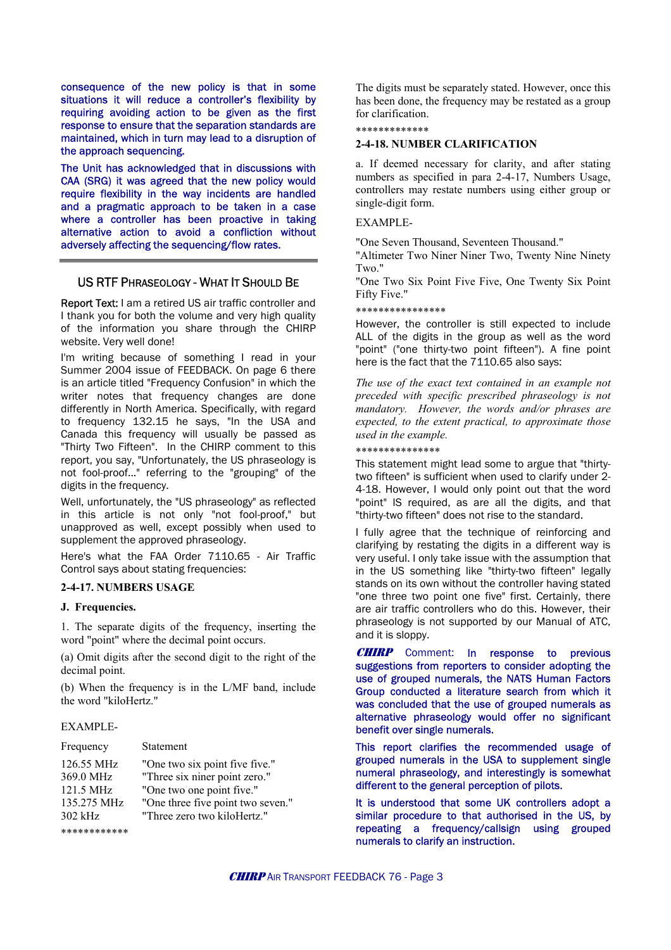consequence of the new policy is that in some situations it will reduce a controller's flexibility by requiring avoiding action to be given as the first response to ensure that the separation standards are maintained, which in turn may lead to a disruption of the approach sequencing.

The Unit has acknowledged that in discussions with CAA (SRG) it was agreed that the new policy would require flexibility in the way incidents are handled and a pragmatic approach to be taken in a case where a controller has been proactive in taking alternative action to avoid a confliction without adversely affecting the sequencing/flow rates.

### US RTF PHRASEOLOGY - WHAT IT SHOULD BE

Report Text: I am a retired US air traffic controller and I thank you for both the volume and very high quality of the information you share through the CHIRP website. Very well done!

I'm writing because of something I read in your here is the fact that the 7110.65 also says: Summer 2004 issue of FEEDBACK. On page 6 there is an article titled "Frequency Confusion" in which the writer notes that frequency changes are done differently in North America. Specifically, with regard to frequency 132.15 he says, "In the USA and Canada this frequency will usually be passed as "Thirty Two Fifteen". In the CHIRP comment to this report, you say, "Unfortunately, the US phraseology is not fool-proof..." referring to the "grouping" of the digits in the frequency.

Well, unfortunately, the "US phraseology" as reflected in this article is not only "not fool-proof," but unapproved as well, except possibly when used to unapproved as well, except possibly when used to a lift fully agree that the technique of reinforcing and supplement the approved phraseology.

Here's what the FAA Order 7110.65 - Air Traffic Control says about stating frequencies:

### **2-4-17. NUMBERS USAGE**

### **J. Frequencies.**

1. The separate digits of the frequency, inserting the word "point" where the decimal point occurs.

(a) Omit digits after the second digit to the right of the decimal point.

(b) When the frequency is in the L/MF band, include the word "kiloHertz."

### EXAMPLE-

| Frequency                                                                        | <b>Statement</b>                                                                                                                                                 |
|----------------------------------------------------------------------------------|------------------------------------------------------------------------------------------------------------------------------------------------------------------|
| 126.55 MHz<br>369.0 MHz<br>121.5 MHz<br>135.275 MHz<br>$302$ kHz<br>************ | "One two six point five five."<br>"Three six niner point zero."<br>"One two one point five."<br>"One three five point two seven."<br>"Three zero two kiloHertz." |
|                                                                                  |                                                                                                                                                                  |

The digits must be separately stated. However, once this has been done, the frequency may be restated as a group for clarification.

### \*\*\*\*\*\*\*\*\*\*\*\*\*

### **2-4-18. NUMBER CLARIFICATION**

a. If deemed necessary for clarity, and after stating numbers as specified in para 2-4-17, Numbers Usage, controllers may restate numbers using either group or single-digit form.

### EXAMPLE-

"One Seven Thousand, Seventeen Thousand."

"Altimeter Two Niner Niner Two, Twenty Nine Ninety Two."

"One Two Six Point Five Five, One Twenty Six Point Fifty Five."

### \*\*\*\*\*\*\*\*\*\*\*\*\*\*\*\*

However, the controller is still expected to include ALL of the digits in the group as well as the word "point" ("one thirty-two point fifteen"). A fine point

*The use of the exact text contained in an example not preceded with specific prescribed phraseology is not mandatory. However, the words and/or phrases are expected, to the extent practical, to approximate those used in the example.* 

### \*\*\*\*\*\*\*\*\*\*\*\*\*\*\*

This statement might lead some to argue that "thirtytwo fifteen" is sufficient when used to clarify under 2- 4-18. However, I would only point out that the word "point" IS required, as are all the digits, and that "thirty-two fifteen" does not rise to the standard.

clarifying by restating the digits in a different way is very useful. I only take issue with the assumption that in the US something like "thirty-two fifteen" legally stands on its own without the controller having stated "one three two point one five" first. Certainly, there are air traffic controllers who do this. However, their phraseology is not supported by our Manual of ATC, and it is sloppy.

**CHIRP** Comment: In response to previous suggestions from reporters to consider adopting the use of grouped numerals, the NATS Human Factors Group conducted a literature search from which it was concluded that the use of grouped numerals as alternative phraseology would offer no significant benefit over single numerals.

This report clarifies the recommended usage of grouped numerals in the USA to supplement single numeral phraseology, and interestingly is somewhat different to the general perception of pilots.

It is understood that some UK controllers adopt a similar procedure to that authorised in the US, by repeating a frequency/callsign using grouped numerals to clarify an instruction.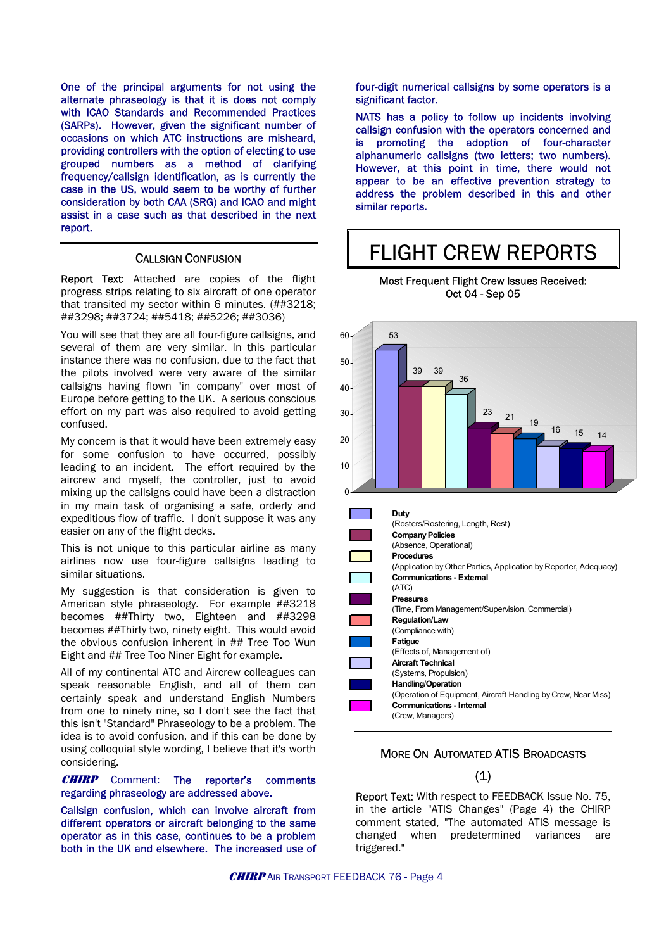One of the principal arguments for not using the alternate phraseology is that it is does not comply with ICAO Standards and Recommended Practices (SARPs). However, given the significant number of occasions on which ATC instructions are misheard, providing controllers with the option of electing to use grouped numbers as a method of clarifying frequency/callsign identification, as is currently the case in the US, would seem to be worthy of further consideration by both CAA (SRG) and ICAO and might assist in a case such as that described in the next report.

### CALLSIGN CONFUSION

Report Text: Attached are copies of the flight progress strips relating to six aircraft of one operator that transited my sector within 6 minutes. (##3218; ##3298; ##3724; ##5418; ##5226; ##3036)

You will see that they are all four-figure callsigns, and several of them are very similar. In this particular instance there was no confusion, due to the fact that the pilots involved were very aware of the similar callsigns having flown "in company" over most of Europe before getting to the UK. A serious conscious effort on my part was also required to avoid getting confused.

My concern is that it would have been extremely easy for some confusion to have occurred, possibly leading to an incident. The effort required by the aircrew and myself, the controller, just to avoid mixing up the callsigns could have been a distraction in my main task of organising a safe, orderly and expeditious flow of traffic. I don't suppose it was any easier on any of the flight decks.

This is not unique to this particular airline as many airlines now use four-figure callsigns leading to similar situations.

My suggestion is that consideration is given to American style phraseology. For example ##3218 becomes ##Thirty two, Eighteen and ##3298 becomes ##Thirty two, ninety eight. This would avoid the obvious confusion inherent in ## Tree Too Wun Eight and ## Tree Too Niner Eight for example.

All of my continental ATC and Aircrew colleagues can speak reasonable English, and all of them can certainly speak and understand English Numbers from one to ninety nine, so I don't see the fact that this isn't "Standard" Phraseology to be a problem. The idea is to avoid confusion, and if this can be done by using colloquial style wording, I believe that it's worth considering.

CHIRPComment:The reporter's comments regarding phraseology are addressed above.

Callsign confusion, which can involve aircraft from different operators or aircraft belonging to the same operator as in this case, continues to be a problem both in the UK and elsewhere. The increased use of four-digit numerical callsigns by some operators is a significant factor.

NATS has a policy to follow up incidents involving callsign confusion with the operators concerned and is promoting the adoption of four-character alphanumeric callsigns (two letters; two numbers). However, at this point in time, there would not appear to be an effective prevention strategy to address the problem described in this and other similar reports.

# FLIGHT CREW REPORTS





### MORE ON AUTOMATED ATIS BROADCASTS

### (1)

Report Text: With respect to FEEDBACK Issue No. 75, in the article "ATIS Changes" (Page 4) the CHIRP comment stated, "The automated ATIS message is changed when predetermined variances are triggered."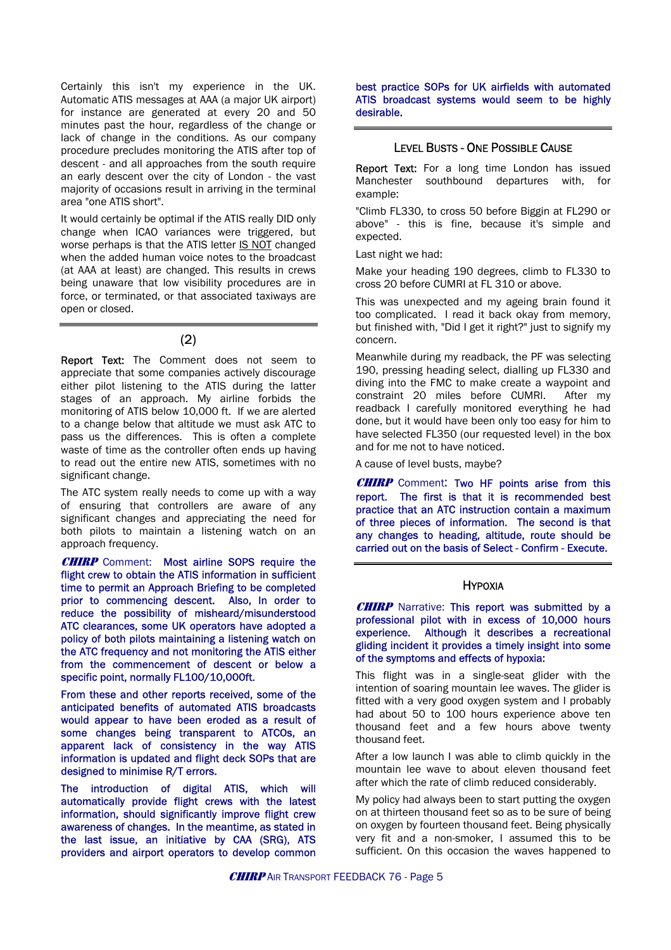Certainly this isn't my experience in the UK. Automatic ATIS messages at AAA (a major UK airport) for instance are generated at every 20 and 50 minutes past the hour, regardless of the change or lack of change in the conditions. As our company procedure precludes monitoring the ATIS after top of descent - and all approaches from the south require an early descent over the city of London - the vast majority of occasions result in arriving in the terminal area "one ATIS short".

It would certainly be optimal if the ATIS really DID only change when ICAO variances were triggered, but worse perhaps is that the ATIS letter IS NOT changed when the added human voice notes to the broadcast (at AAA at least) are changed. This results in crews being unaware that low visibility procedures are in force, or terminated, or that associated taxiways are open or closed.

### (2)

Report Text: The Comment does not seem to appreciate that some companies actively discourage either pilot listening to the ATIS during the latter stages of an approach. My airline forbids the monitoring of ATIS below 10,000 ft. If we are alerted to a change below that altitude we must ask ATC to pass us the differences. This is often a complete waste of time as the controller often ends up having to read out the entire new ATIS, sometimes with no significant change.

The ATC system really needs to come up with a way of ensuring that controllers are aware of any significant changes and appreciating the need for both pilots to maintain a listening watch on an approach frequency.

**CHIRP** Comment: Most airline SOPS require the flight crew to obtain the ATIS information in sufficient time to permit an Approach Briefing to be completed prior to commencing descent. Also, In order to reduce the possibility of misheard/misunderstood ATC clearances, some UK operators have adopted a policy of both pilots maintaining a listening watch on the ATC frequency and not monitoring the ATIS either from the commencement of descent or below a specific point, normally FL100/10,000ft.

From these and other reports received, some of the anticipated benefits of automated ATIS broadcasts would appear to have been eroded as a result of some changes being transparent to ATCOs, an apparent lack of consistency in the way ATIS information is updated and flight deck SOPs that are designed to minimise R/T errors.

The introduction of digital ATIS, which will automatically provide flight crews with the latest information, should significantly improve flight crew awareness of changes. In the meantime, as stated in the last issue, an initiative by CAA (SRG), ATS providers and airport operators to develop common

best practice SOPs for UK airfields with automated ATIS broadcast systems would seem to be highly desirable.

### LEVEL BUSTS - ONE POSSIBLE CAUSE

Report Text: For a long time London has issued Manchester southbound departures with, for example:

"Climb FL330, to cross 50 before Biggin at FL290 or above" - this is fine, because it's simple and expected.

Last night we had:

Make your heading 190 degrees, climb to FL330 to cross 20 before CUMRI at FL 310 or above.

This was unexpected and my ageing brain found it too complicated. I read it back okay from memory, but finished with, "Did I get it right?" just to signify my concern.

Meanwhile during my readback, the PF was selecting 190, pressing heading select, dialling up FL330 and diving into the FMC to make create a waypoint and constraint 20 miles before CUMRI. After my readback I carefully monitored everything he had done, but it would have been only too easy for him to have selected FL350 (our requested level) in the box and for me not to have noticed.

A cause of level busts, maybe?

CHIRPComment: Two HF points arise from this report. The first is that it is recommended best practice that an ATC instruction contain a maximum of three pieces of information. The second is that any changes to heading, altitude, route should be carried out on the basis of Select - Confirm - Execute.

### HYPOXIA

**CHIRP** Narrative: This report was submitted by a professional pilot with in excess of 10,000 hours experience. Although it describes a recreational gliding incident it provides a timely insight into some of the symptoms and effects of hypoxia:

This flight was in a single-seat glider with the intention of soaring mountain lee waves. The glider is fitted with a very good oxygen system and I probably had about 50 to 100 hours experience above ten thousand feet and a few hours above twenty thousand feet.

After a low launch I was able to climb quickly in the mountain lee wave to about eleven thousand feet after which the rate of climb reduced considerably.

My policy had always been to start putting the oxygen on at thirteen thousand feet so as to be sure of being on oxygen by fourteen thousand feet. Being physically very fit and a non-smoker, I assumed this to be sufficient. On this occasion the waves happened to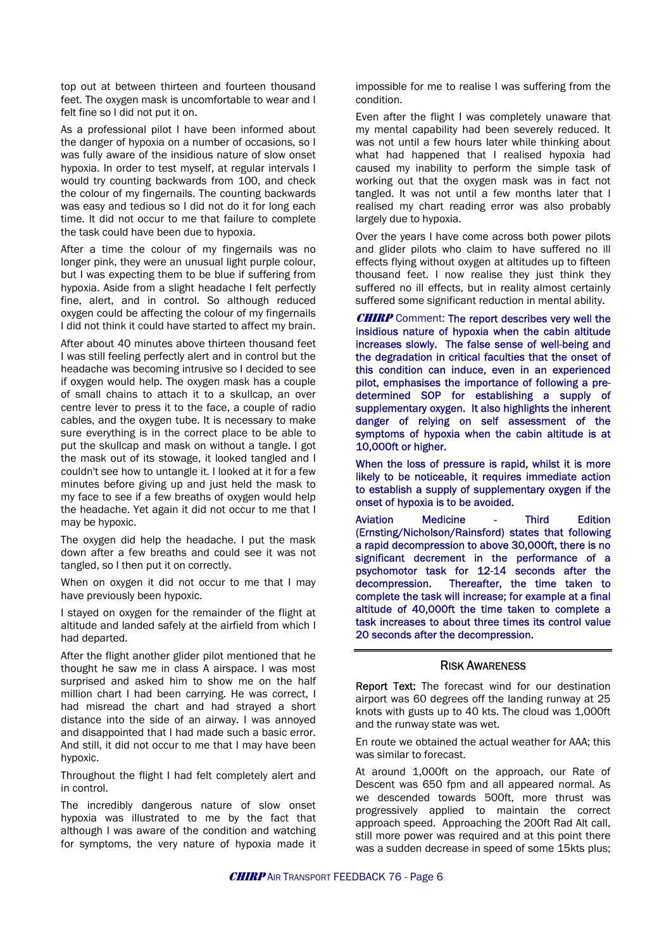top out at between thirteen and fourteen thousand feet. The oxygen mask is uncomfortable to wear and I felt fine so I did not put it on.

As a professional pilot I have been informed about the danger of hypoxia on a number of occasions, so I was fully aware of the insidious nature of slow onset hypoxia. In order to test myself, at regular intervals I would try counting backwards from 100, and check the colour of my fingernails. The counting backwards was easy and tedious so I did not do it for long each time. It did not occur to me that failure to complete the task could have been due to hypoxia.

After a time the colour of my fingernails was no longer pink, they were an unusual light purple colour, but I was expecting them to be blue if suffering from hypoxia. Aside from a slight headache I felt perfectly fine, alert, and in control. So although reduced oxygen could be affecting the colour of my fingernails I did not think it could have started to affect my brain.

After about 40 minutes above thirteen thousand feet I was still feeling perfectly alert and in control but the headache was becoming intrusive so I decided to see if oxygen would help. The oxygen mask has a couple of small chains to attach it to a skullcap, an over centre lever to press it to the face, a couple of radio cables, and the oxygen tube. It is necessary to make sure everything is in the correct place to be able to put the skullcap and mask on without a tangle. I got the mask out of its stowage, it looked tangled and I couldn't see how to untangle it. I looked at it for a few minutes before giving up and just held the mask to my face to see if a few breaths of oxygen would help the headache. Yet again it did not occur to me that I may be hypoxic.

The oxygen did help the headache. I put the mask down after a few breaths and could see it was not tangled, so I then put it on correctly.

When on oxygen it did not occur to me that I may have previously been hypoxic.

I stayed on oxygen for the remainder of the flight at altitude and landed safely at the airfield from which I had departed.

After the flight another glider pilot mentioned that he thought he saw me in class A airspace. I was most surprised and asked him to show me on the half million chart I had been carrying. He was correct, I had misread the chart and had strayed a short distance into the side of an airway. I was annoyed and disappointed that I had made such a basic error. And still, it did not occur to me that I may have been hypoxic.

Throughout the flight I had felt completely alert and in control.

The incredibly dangerous nature of slow onset hypoxia was illustrated to me by the fact that although l was aware of the condition and watching for symptoms, the very nature of hypoxia made it

impossible for me to realise I was suffering from the condition.

Even after the flight I was completely unaware that my mental capability had been severely reduced. It was not until a few hours later while thinking about what had happened that I realised hypoxia had caused my inability to perform the simple task of working out that the oxygen mask was in fact not tangled. It was not until a few months later that I realised my chart reading error was also probably largely due to hypoxia.

Over the years I have come across both power pilots and glider pilots who claim to have suffered no ill effects flying without oxygen at altitudes up to fifteen thousand feet. I now realise they just think they suffered no ill effects, but in reality almost certainly suffered some significant reduction in mental ability.

**CHIRP** Comment: The report describes very well the insidious nature of hypoxia when the cabin altitude increases slowly. The false sense of well-being and the degradation in critical faculties that the onset of this condition can induce, even in an experienced pilot, emphasises the importance of following a predetermined SOP for establishing a supply of supplementary oxygen. It also highlights the inherent danger of relying on self assessment of the symptoms of hypoxia when the cabin altitude is at 10,000ft or higher.

When the loss of pressure is rapid, whilst it is more likely to be noticeable, it requires immediate action to establish a supply of supplementary oxygen if the onset of hypoxia is to be avoided.

Aviation Medicine - Third Edition (Ernsting/Nicholson/Rainsford) states that following a rapid decompression to above 30,000ft, there is no significant decrement in the performance of a psychomotor task for 12-14 seconds after the decompression. Thereafter, the time taken to complete the task will increase; for example at a final altitude of 40,000ft the time taken to complete a task increases to about three times its control value 20 seconds after the decompression.

### RISK AWARENESS

Report Text: The forecast wind for our destination airport was 60 degrees off the landing runway at 25 knots with gusts up to 40 kts. The cloud was 1,000ft and the runway state was wet.

En route we obtained the actual weather for AAA; this was similar to forecast.

At around 1,000ft on the approach, our Rate of Descent was 650 fpm and all appeared normal. As we descended towards 500ft, more thrust was progressively applied to maintain the correct approach speed. Approaching the 200ft Rad Alt call, still more power was required and at this point there was a sudden decrease in speed of some 15kts plus;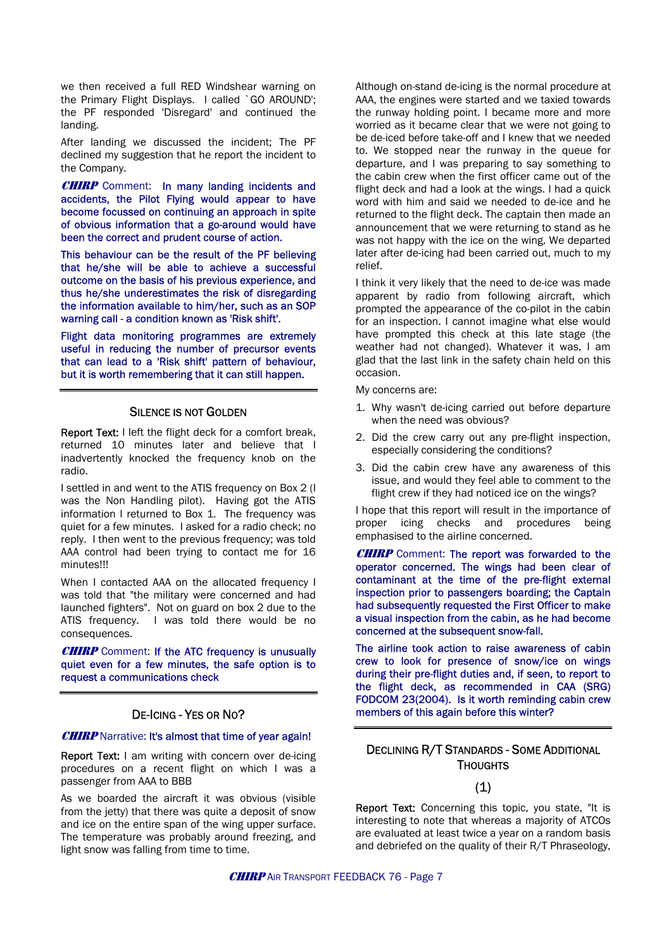we then received a full RED Windshear warning on the Primary Flight Displays. I called `GO AROUND'; the PF responded 'Disregard' and continued the landing.

After landing we discussed the incident; The PF declined my suggestion that he report the incident to the Company.

CHIRP Comment:In many landing incidents and accidents, the Pilot Flying would appear to have become focussed on continuing an approach in spite of obvious information that a go-around would have been the correct and prudent course of action.

This behaviour can be the result of the PF believing that he/she will be able to achieve a successful outcome on the basis of his previous experience, and thus he/she underestimates the risk of disregarding the information available to him/her, such as an SOP warning call - a condition known as 'Risk shift'.

Flight data monitoring programmes are extremely useful in reducing the number of precursor events that can lead to a 'Risk shift' pattern of behaviour, but it is worth remembering that it can still happen.

Report Text: I left the flight deck for a comfort break, returned 10 minutes later and believe that I inadvertently knocked the frequency knob on the radio.

flight crew if they had noticed ice on the wings? I settled in and went to the ATIS frequency on Box 2 (I was the Non Handling pilot). Having got the ATIS information I returned to Box 1. The frequency was quiet for a few minutes. I asked for a radio check; no reply. I then went to the previous frequency; was told AAA control had been trying to contact me for 16 minutes!!!

When I contacted AAA on the allocated frequency I was told that "the military were concerned and had launched fighters". Not on guard on box 2 due to the ATIS frequency. I was told there would be no consequences.

**CHIRP** Comment: If the ATC frequency is unusually quiet even for a few minutes, the safe option is to request a communications check

### DE-ICING - YES OR NO?

### **CHIRP** Narrative: It's almost that time of year again!

THOUGHTS Report Text: I am writing with concern over de-icing procedures on a recent flight on which I was a passenger from AAA to BBB (1) (1)

As we boarded the aircraft it was obvious (visible from the jetty) that there was quite a deposit of snow and ice on the entire span of the wing upper surface. The temperature was probably around freezing, and light snow was falling from time to time.

Although on-stand de-icing is the normal procedure at AAA, the engines were started and we taxied towards the runway holding point. I became more and more worried as it became clear that we were not going to be de-iced before take-off and I knew that we needed to. We stopped near the runway in the queue for departure, and I was preparing to say something to the cabin crew when the first officer came out of the flight deck and had a look at the wings. I had a quick word with him and said we needed to de-ice and he returned to the flight deck. The captain then made an announcement that we were returning to stand as he was not happy with the ice on the wing. We departed later after de-icing had been carried out, much to my relief.

I think it very likely that the need to de-ice was made apparent by radio from following aircraft, which prompted the appearance of the co-pilot in the cabin for an inspection. I cannot imagine what else would have prompted this check at this late stage (the weather had not changed). Whatever it was, I am glad that the last link in the safety chain held on this occasion.

My concerns are:

- 1. Why wasn't de-icing carried out before departure SILENCE IS NOT GOLDEN<br>
when the need was obvious?
	- 2. Did the crew carry out any pre-flight inspection, especially considering the conditions?
	- 3. Did the cabin crew have any awareness of this issue, and would they feel able to comment to the

I hope that this report will result in the importance of proper icing checks and procedures being emphasised to the airline concerned.

**CHIRP** Comment: The report was forwarded to the operator concerned. The wings had been clear of contaminant at the time of the pre-flight external inspection prior to passengers boarding; the Captain had subsequently requested the First Officer to make a visual inspection from the cabin, as he had become concerned at the subsequent snow-fall.

The airline took action to raise awareness of cabin crew to look for presence of snow/ice on wings during their pre-flight duties and, if seen, to report to the flight deck, as recommended in CAA (SRG) FODCOM 23(2004). Is it worth reminding cabin crew members of this again before this winter?

# DECLINING R/T STANDARDS - SOME ADDITIONAL

Report Text: Concerning this topic, you state. "It is interesting to note that whereas a majority of ATCOs are evaluated at least twice a year on a random basis and debriefed on the quality of their R/T Phraseology,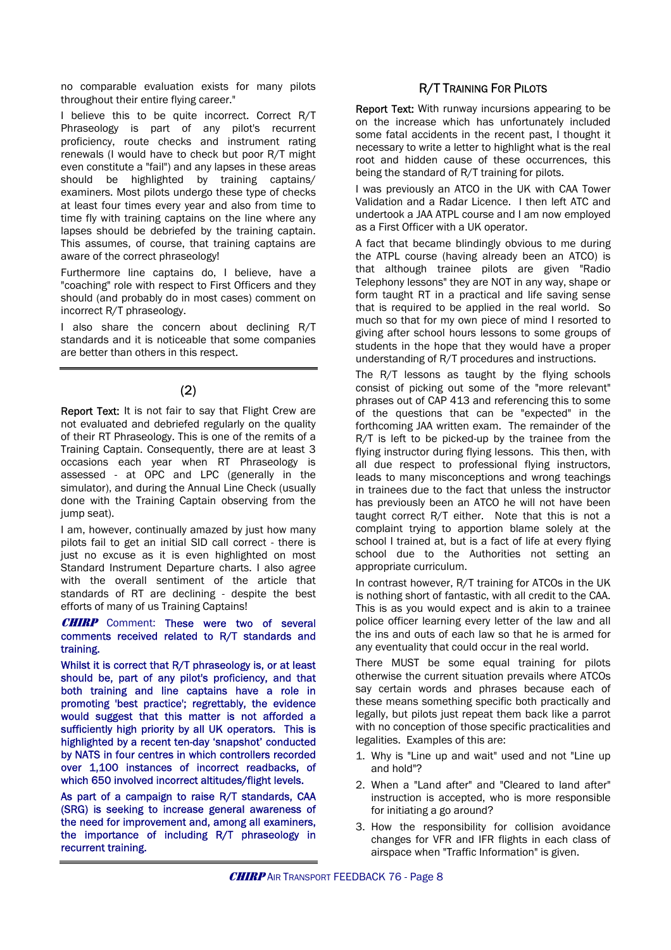no comparable evaluation exists for many pilots **R/T TRAINING FOR PILOTS** throughout their entire flying career."

I believe this to be quite incorrect. Correct R/T Phraseology is part of any pilot's recurrent proficiency, route checks and instrument rating renewals (I would have to check but poor R/T might even constitute a "fail") and any lapses in these areas should be highlighted by training captains/ examiners. Most pilots undergo these type of checks at least four times every year and also from time to time fly with training captains on the line where any lapses should be debriefed by the training captain. This assumes, of course, that training captains are aware of the correct phraseology!

Furthermore line captains do, I believe, have a "coaching" role with respect to First Officers and they should (and probably do in most cases) comment on incorrect R/T phraseology.

I also share the concern about declining R/T standards and it is noticeable that some companies are better than others in this respect.

### (2)

Report Text: It is not fair to say that Flight Crew are not evaluated and debriefed regularly on the quality of their RT Phraseology. This is one of the remits of a Training Captain. Consequently, there are at least 3 occasions each year when RT Phraseology is assessed - at OPC and LPC (generally in the simulator), and during the Annual Line Check (usually done with the Training Captain observing from the jump seat).

I am, however, continually amazed by just how many pilots fail to get an initial SID call correct - there is just no excuse as it is even highlighted on most Standard Instrument Departure charts. I also agree with the overall sentiment of the article that standards of RT are declining - despite the best efforts of many of us Training Captains!

### **CHIRP** Comment: These were two of several comments received related to R/T standards and training.

Whilst it is correct that R/T phraseology is, or at least should be, part of any pilot's proficiency, and that both training and line captains have a role in promoting 'best practice'; regrettably, the evidence would suggest that this matter is not afforded a sufficiently high priority by all UK operators. This is highlighted by a recent ten-day 'snapshot' conducted by NATS in four centres in which controllers recorded over 1,100 instances of incorrect readbacks, of which 650 involved incorrect altitudes/flight levels.

As part of a campaign to raise R/T standards, CAA (SRG) is seeking to increase general awareness of the need for improvement and, among all examiners, the importance of including R/T phraseology in recurrent training.

Report Text: With runway incursions appearing to be on the increase which has unfortunately included some fatal accidents in the recent past, I thought it necessary to write a letter to highlight what is the real root and hidden cause of these occurrences, this being the standard of R/T training for pilots.

I was previously an ATCO in the UK with CAA Tower Validation and a Radar Licence. I then left ATC and undertook a JAA ATPL course and I am now employed as a First Officer with a UK operator.

A fact that became blindingly obvious to me during the ATPL course (having already been an ATCO) is that although trainee pilots are given "Radio Telephony lessons" they are NOT in any way, shape or form taught RT in a practical and life saving sense that is required to be applied in the real world. So much so that for my own piece of mind I resorted to giving after school hours lessons to some groups of students in the hope that they would have a proper understanding of R/T procedures and instructions.

The R/T lessons as taught by the flying schools consist of picking out some of the "more relevant" phrases out of CAP 413 and referencing this to some of the questions that can be "expected" in the forthcoming JAA written exam. The remainder of the R/T is left to be picked-up by the trainee from the flying instructor during flying lessons. This then, with all due respect to professional flying instructors, leads to many misconceptions and wrong teachings in trainees due to the fact that unless the instructor has previously been an ATCO he will not have been taught correct R/T either. Note that this is not a complaint trying to apportion blame solely at the school I trained at, but is a fact of life at every flying school due to the Authorities not setting an appropriate curriculum.

In contrast however, R/T training for ATCOs in the UK is nothing short of fantastic, with all credit to the CAA. This is as you would expect and is akin to a trainee police officer learning every letter of the law and all the ins and outs of each law so that he is armed for any eventuality that could occur in the real world.

There MUST be some equal training for pilots otherwise the current situation prevails where ATCOs say certain words and phrases because each of these means something specific both practically and legally, but pilots just repeat them back like a parrot with no conception of those specific practicalities and legalities. Examples of this are:

- 1. Why is "Line up and wait" used and not "Line up and hold"?
- 2. When a "Land after" and "Cleared to land after" instruction is accepted, who is more responsible for initiating a go around?
- 3. How the responsibility for collision avoidance changes for VFR and IFR flights in each class of airspace when "Traffic Information" is given.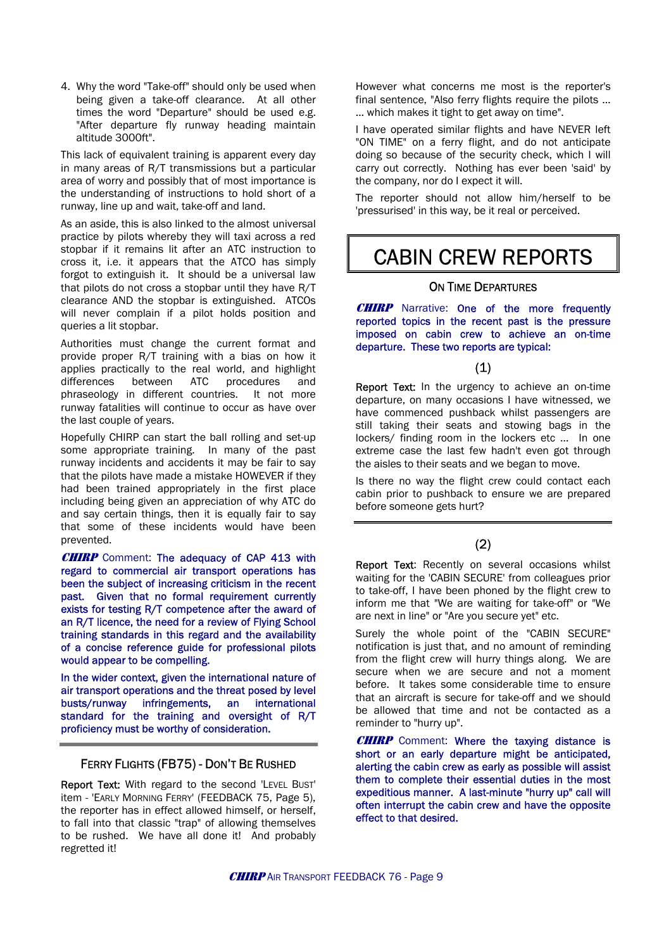4. Why the word "Take-off" should only be used when being given a take-off clearance. At all other times the word "Departure" should be used e.g. "After departure fly runway heading maintain

This lack of equivalent training is apparent every day in many areas of R/T transmissions but a particular area of worry and possibly that of most importance is the understanding of instructions to hold short of a the understanding of instructions to noid short of a<br>The reporter should not allow him/herself to be<br>shown in this way he it real approximated in the way he it real approximated in

As an aside, this is also linked to the almost universal practice by pilots whereby they will taxi across a red stopbar if it remains lit after an ATC instruction to cross it, i.e. it appears that the ATCO has simply forgot to extinguish it. It should be a universal law that pilots do not cross a stopbar until they have R/T clearance AND the stopbar is extinguished. ATCOs will never complain if a pilot holds position and queries a lit stopbar.

Authorities must change the current format and **the departure. These two reports are typical:** provide proper R/T training with a bias on how it applies practically to the real world, and highlight differences between ATC procedures and phraseology in different countries. It not more runway fatalities will continue to occur as have over the last couple of years.

Hopefully CHIRP can start the ball rolling and set-up some appropriate training. In many of the past runway incidents and accidents it may be fair to say that the pilots have made a mistake HOWEVER if they had been trained appropriately in the first place including being given an appreciation of why ATC do and say certain things, then it is equally fair to say that some of these incidents would have been prevented.

**CHIRP** Comment: The adequacy of CAP 413 with regard to commercial air transport operations has been the subject of increasing criticism in the recent past. Given that no formal requirement currently exists for testing R/T competence after the award of an R/T licence, the need for a review of Flying School training standards in this regard and the availability of a concise reference guide for professional pilots would appear to be compelling.

In the wider context, given the international nature of air transport operations and the threat posed by level busts/runway infringements, an international standard for the training and oversight of R/T proficiency must be worthy of consideration.

### FERRY FLIGHTS (FB75) - DON'T BE RUSHED

Report Text: With regard to the second 'LEVEL BUST' item - 'EARLY MORNING FERRY' (FEEDBACK 75, Page 5), the reporter has in effect allowed himself, or herself, to fall into that classic "trap" of allowing themselves to be rushed. We have all done it! And probably regretted it!

However what concerns me most is the reporter's final sentence, "Also ferry flights require the pilots … … which makes it tight to get away on time".

altitude 3000ft".<br>Altitude 3000ft". "ON TIME" on a ferry flight, and do not anticipate doing so because of the security check, which I will carry out correctly. Nothing has ever been 'said' by the company, nor do I expect it will.

'pressurised' in this way, be it real or perceived.

## CABIN CREW REPORTS

### ON TIME DEPARTURES

**CHIRP** Narrative: One of the more frequently reported topics in the recent past is the pressure imposed on cabin crew to achieve an on-time

### (1)

Report Text: In the urgency to achieve an on-time departure, on many occasions I have witnessed, we have commenced pushback whilst passengers are still taking their seats and stowing bags in the lockers/ finding room in the lockers etc … In one extreme case the last few hadn't even got through the aisles to their seats and we began to move.

Is there no way the flight crew could contact each cabin prior to pushback to ensure we are prepared before someone gets hurt?

### (2)

Report Text: Recently on several occasions whilst waiting for the 'CABIN SECURE' from colleagues prior to take-off, I have been phoned by the flight crew to inform me that "We are waiting for take-off" or "We are next in line" or "Are you secure yet" etc.

Surely the whole point of the "CABIN SECURE" notification is just that, and no amount of reminding from the flight crew will hurry things along. We are secure when we are secure and not a moment before. It takes some considerable time to ensure that an aircraft is secure for take-off and we should be allowed that time and not be contacted as a reminder to "hurry up".

**CHIRP** Comment: Where the taxying distance is short or an early departure might be anticipated, alerting the cabin crew as early as possible will assist them to complete their essential duties in the most expeditious manner. A last-minute "hurry up" call will often interrupt the cabin crew and have the opposite effect to that desired.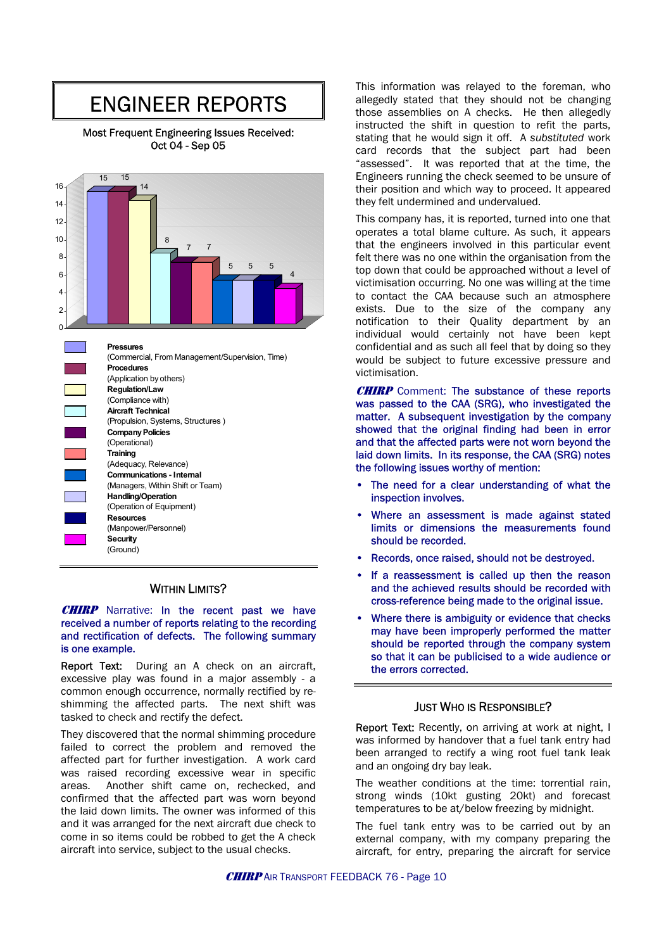# ENGINEER REPORTS

Most Frequent Engineering Issues Received: Oct 04 - Sep 05



### WITHIN LIMITS?

**CHIRP** Narrative: In the recent past we have received a number of reports relating to the recording and rectification of defects. The following summary is one example.

excessive play was found in a major assembly - a common enough occurrence, normally rectified by reshimming the affected parts. The next shift was **JUST WHO IS RESPONSIBLE?**<br>tasked to check and rectify the defect.

They discovered that the normal shimming procedure failed to correct the problem and removed the affected part for further investigation. A work card was raised recording excessive wear in specific areas. Another shift came on, rechecked, and confirmed that the affected part was worn beyond the laid down limits. The owner was informed of this and it was arranged for the next aircraft due check to come in so items could be robbed to get the A check aircraft into service, subject to the usual checks.

This information was relayed to the foreman, who allegedly stated that they should not be changing those assemblies on A checks. He then allegedly instructed the shift in question to refit the parts, stating that he would sign it off. A *substituted* work card records that the subject part had been "assessed". It was reported that at the time, the Engineers running the check seemed to be unsure of their position and which way to proceed. It appeared they felt undermined and undervalued.

This company has, it is reported, turned into one that operates a total blame culture. As such, it appears that the engineers involved in this particular event felt there was no one within the organisation from the top down that could be approached without a level of victimisation occurring. No one was willing at the time to contact the CAA because such an atmosphere exists. Due to the size of the company any notification to their Quality department by an individual would certainly not have been kept confidential and as such all feel that by doing so they would be subject to future excessive pressure and victimisation.

**CHIRP** Comment: The substance of these reports was passed to the CAA (SRG), who investigated the matter. A subsequent investigation by the company showed that the original finding had been in error and that the affected parts were not worn beyond the laid down limits. In its response, the CAA (SRG) notes the following issues worthy of mention:

- The need for a clear understanding of what the inspection involves.
- Where an assessment is made against stated limits or dimensions the measurements found should be recorded.
- Records, once raised, should not be destroyed.
- If a reassessment is called up then the reason and the achieved results should be recorded with cross-reference being made to the original issue.
- Where there is ambiguity or evidence that checks may have been improperly performed the matter should be reported through the company system so that it can be publicised to a wide audience or<br>Report Text: During an A check on an aircraft, the errors corrected.

Report Text: Recently, on arriving at work at night, I was informed by handover that a fuel tank entry had been arranged to rectify a wing root fuel tank leak and an ongoing dry bay leak.

The weather conditions at the time: torrential rain, strong winds (10kt gusting 20kt) and forecast temperatures to be at/below freezing by midnight.

The fuel tank entry was to be carried out by an external company, with my company preparing the aircraft, for entry, preparing the aircraft for service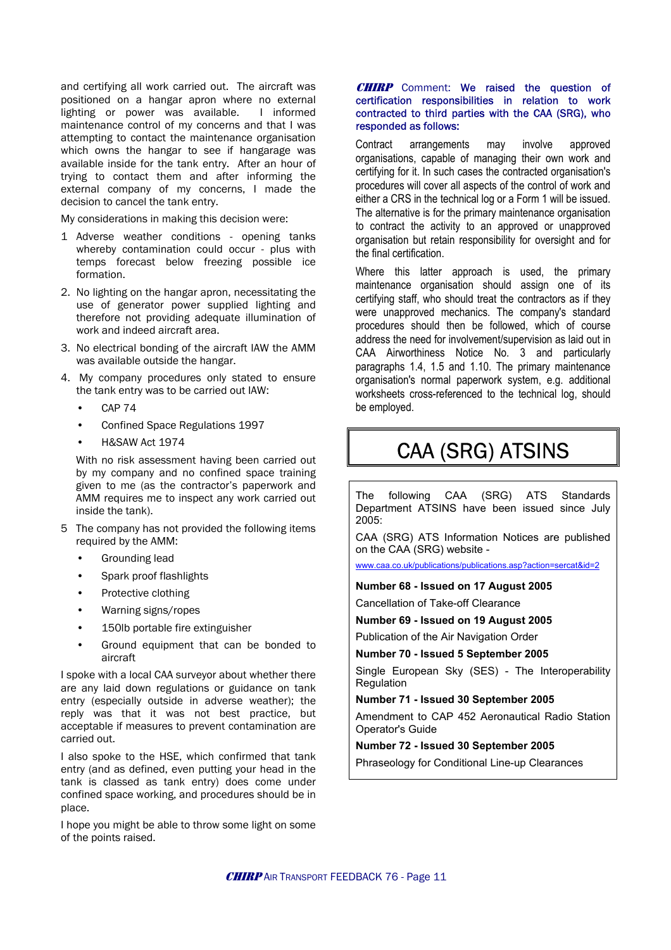and certifying all work carried out. The aircraft was positioned on a hangar apron where no external lighting or power was available. I informed maintenance control of my concerns and that I was attempting to contact the maintenance organisation which owns the hangar to see if hangarage was available inside for the tank entry. After an hour of trying to contact them and after informing the external company of my concerns, I made the decision to cancel the tank entry.

My considerations in making this decision were:

- 1 Adverse weather conditions opening tanks whereby contamination could occur - plus with temps forecast below freezing possible ice
- 2. No lighting on the hangar apron, necessitating the use of generator power supplied lighting and therefore not providing adequate illumination of work and indeed aircraft area.
- 3. No electrical bonding of the aircraft IAW the AMM was available outside the hangar.
- 4. My company procedures only stated to ensure the tank entry was to be carried out IAW:
	- CAP 74
	- Confined Space Regulations 1997
	-

by my company and no confined space training given to me (as the contractor's paperwork and AMM requires me to inspect any work carried out inside the tank).

- 5 The company has not provided the following items required by the AMM: The AMM: CAA (SRG) ATS Information Notices are published
	-
	- Spark proof flashlights
	-
	- Warning signs/ropes
	-
	- Ground equipment that can be bonded to aircraft **Number 70 - Issued 5 September 2005**

 $\left| \begin{array}{c} \text{Suppose with a local CAA survey or about whether there} \\ \text{are any half down restrictions or guidelines on tank} \end{array} \right|$ are any laid down regulations or guidance on tank entry (especially outside in adverse weather); the reply was that it was not best practice, but acceptable if measures to prevent contamination are carried out.

I also spoke to the HSE, which confirmed that tank entry (and as defined, even putting your head in the tank is classed as tank entry) does come under confined space working, and procedures should be in place.

I hope you might be able to throw some light on some of the points raised.

### **CHIRP** Comment: We raised the question of certification responsibilities in relation to work contracted to third parties with the CAA (SRG), who responded as follows:

Contract arrangements may involve approved organisations, capable of managing their own work and certifying for it. In such cases the contracted organisation's procedures will cover all aspects of the control of work and either a CRS in the technical log or a Form 1 will be issued. The alternative is for the primary maintenance organisation to contract the activity to an approved or unapproved organisation but retain responsibility for oversight and for the final certification.

formation. Where this latter approach is used, the primary maintenance organisation should assign one of its certifying staff, who should treat the contractors as if they were unapproved mechanics. The company's standard procedures should then be followed, which of course address the need for involvement/supervision as laid out in CAA Airworthiness Notice No. 3 and particularly paragraphs 1.4, 1.5 and 1.10. The primary maintenance organisation's normal paperwork system, e.g. additional worksheets cross-referenced to the technical log, should be employed.

# • H&SAW Act 1974<br>With no risk assessment having been carried out **CAA (SRG) ATSINS**

The following CAA (SRG) ATS Standards Department ATSINS have been issued since July 2005:

on the CAA (SRG) website -

example in the start corresponding lead www.caa.co.uk/publications/publications.asp?action=sercat&id=2

**Protective clothing Number 68 - Issued on 17 August 2005** 

Cancellation of Take-off Clearance

# **Number 69 - Issued on 19 August 2005**<br>Publication of the Air Navigation Order

Single European Sky (SES) - The Interoperability

### **Number 71 - Issued 30 September 2005**

Amendment to CAP 452 Aeronautical Radio Station Operator's Guide

### **Number 72 - Issued 30 September 2005**

Phraseology for Conditional Line-up Clearances